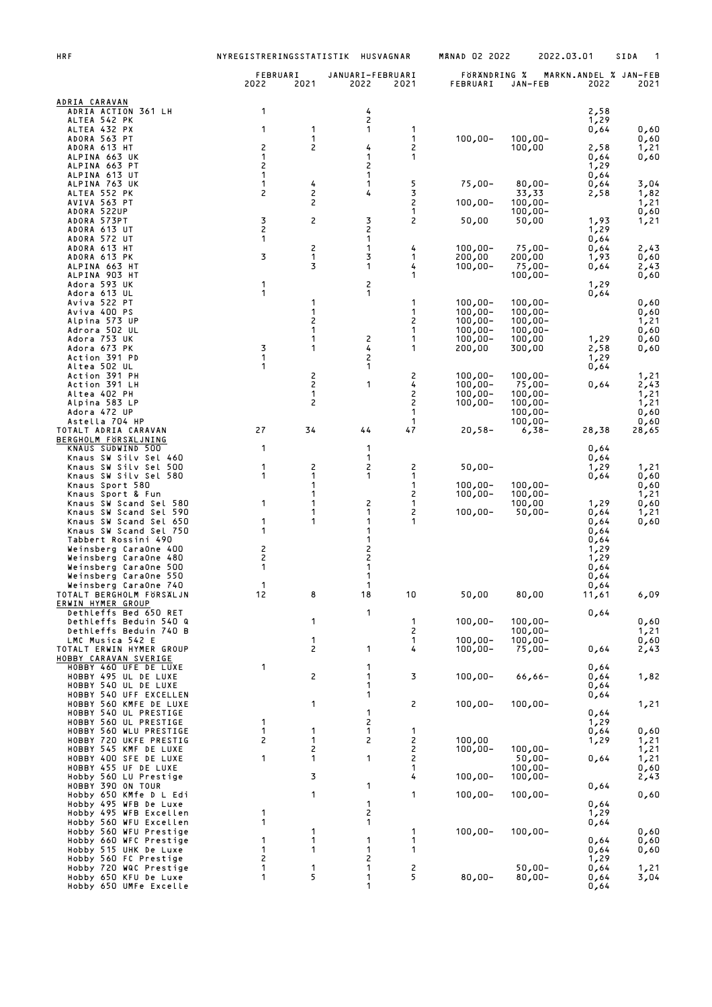| <b>HRF</b>                                        | NYREGISTRERINGSSTATISTIK |                                |                          | HUSVAGNAR | <b>MANAD 02 2022</b>     |                          | 2022.03.01                    | SIDA         |
|---------------------------------------------------|--------------------------|--------------------------------|--------------------------|-----------|--------------------------|--------------------------|-------------------------------|--------------|
|                                                   | FEBRUARI<br>2022         | 2021                           | JANUARI-FEBRUARI<br>2022 | 2021      | FÖRÄNDRING %<br>FEBRUARI | JAN-FEB                  | MARKN.ANDEL % JAN-FEB<br>2022 | 2021         |
| ADRIA CARAVAN                                     |                          |                                |                          |           |                          |                          |                               |              |
| ADRIA ACTION 361 LH<br>ALTEA 542 PK               | 1                        |                                | 4<br>2                   |           |                          |                          | 2,58<br>1,29                  |              |
| ALTEA 432 PX<br>ADORA 563 PT                      | 1                        | 1<br>1                         | 1                        | 1<br>1    | $100,00 -$               | $100,00 -$               | 0,64                          | 0,60         |
| ADORA 613 HT                                      | 2                        | 2                              | 4                        | 2         |                          | 100,00                   | 2,58                          | 0,60<br>1,21 |
| ALPINA 663 UK<br>ALPINA 663 PT                    | 1<br>2                   |                                | 1<br>2                   | 1         |                          |                          | 0,64<br>1,29                  | 0,60         |
| ALPINA 613 UT                                     | 1                        |                                | 1<br>1                   | 5         |                          |                          | 0,64                          |              |
| ALPINA 763 UK<br>ALTEA 552 PK                     | $\mathbf{1}$<br>2        | 4<br>2                         | 4                        | 3         | $75,00-$                 | $80,00 -$<br>33,33       | 0,64<br>2,58                  | 3,04<br>1,82 |
| AVIVA 563 PT<br>ADORA 522UP                       |                          | 2                              |                          | 2<br>1    | 100,00-                  | $100,00 -$<br>$100,00 -$ |                               | 1,21<br>0,60 |
| ADORA 573PT<br>ADORA 613 UT                       | 3<br>$\overline{c}$      | 2                              | 3<br>2                   | 2         | 50,00                    | 50,00                    | 1,93<br>1,29                  | 1,21         |
| ADORA 572 UT                                      | 1                        |                                | 1                        |           |                          |                          | 0,64                          |              |
| ADORA 613 HT<br>ADORA 613 PK                      | 3                        | 2<br>1                         | 1<br>3                   | 4<br>1    | $100,00 -$<br>200,00     | $75,00 -$<br>200,00      | 0,64<br>1,93                  | 2,43<br>0,60 |
| ALPINA 663 HT                                     |                          | 3                              | 1                        | 4<br>1    | $100,00 -$               | $75,00 -$                | 0,64                          | 2,43         |
| ALPINA 903 HT<br>Adora 593 UK                     | 1                        |                                | 2                        |           |                          | $100,00 -$               | 1,29                          | 0,60         |
| Adora 613 UL<br>Aviva 522 PT                      | 1                        | 1                              | 1                        | 1         | $100,00 -$               | $100,00 -$               | 0,64                          | 0,60         |
| Aviva 400 PS                                      |                          | 1                              |                          | 1         | $100,00 -$               | $100,00 -$               |                               | 0,60         |
| Alpina 573 UP<br>Adrora 502 UL                    |                          | 2<br>1                         |                          | 2<br>1    | $100,00 -$<br>$100,00 -$ | $100,00 -$<br>$100,00 -$ |                               | 1,21<br>0,60 |
| Adora 753 UK<br>Adora 673 PK                      | 3                        | 1<br>1                         | 2<br>4                   | 1<br>1    | $100,00 -$<br>200,00     | 100,00<br>300,00         | 1,29<br>2,58                  | 0,60<br>0,60 |
| Action 391 PD                                     | 1<br>1                   |                                | 2                        |           |                          |                          | 1,29                          |              |
| Altea 502 UL<br>Action 391 PH                     |                          | 2                              | 1                        | 2         | $100,00 -$               | $100,00 -$               | 0,64                          | 1,21         |
| Action 391 LH<br>Altea 402 PH                     |                          | $\overline{c}$<br>$\mathbf{1}$ | 1                        | 4<br>2    | $100,00 -$<br>$100,00 -$ | $75,00 -$<br>$100,00 -$  | 0,64                          | 2,43<br>1,21 |
| Alpina 583 LP                                     |                          | 2                              |                          | 2<br>1    | $100,00 -$               | $100,00 -$               |                               | 1,21         |
| Adora 472 UP<br>Astella 704 HP                    |                          |                                |                          | 1         |                          | $100,00 -$<br>$100,00 -$ |                               | 0,60<br>0,60 |
| TOTALT ADRIA CARAVAN<br>BERGHOLM FORSALJNING      | 27                       | 34                             | 44                       | 47        | $20,58-$                 | $6,38-$                  | 28,38                         | 28,65        |
| KNAUS SUDWIND 500                                 | 1                        |                                | 1                        |           |                          |                          | 0,64                          |              |
| Knaus SW Silv Sel 460<br>Knaus SW Silv Sel 500    | 1                        | 2                              | 1<br>2                   | 2         | $50,00 -$                |                          | 0,64<br>1,29                  | 1,21         |
| Knaus SW Silv Sel 580<br>Knaus Sport 580          | 1                        | 1<br>1                         | 1                        | 1<br>1    | $100,00 -$               | $100,00 -$               | 0,64                          | 0,60<br>0,60 |
| Knaus Sport & Fun                                 | 1                        | 1<br>1                         | 2                        | 2<br>1    | $100,00 -$               | $100,00 -$               |                               | 1,21         |
| Knaus SW Scand Sel 580<br>Knaus SW Scand Sel 590  |                          | 1                              | 1                        | 2         | $100,00 -$               | 100,00<br>$50,00 -$      | 1,29<br>0,64                  | 0,60<br>1,21 |
| Knaus SW Scand Sel 650<br>Knaus SW Scand Sel 750  | 1<br>1                   | 1                              | 1<br>1                   | 1         |                          |                          | 0,64<br>0,64                  | 0,60         |
| Tabbert Rossini 490<br>Weinsberg CaraOne 400      | 2                        |                                | 1                        |           |                          |                          | 0,64<br>1,29                  |              |
| Weinsberg CaraOne 480                             | $\overline{\mathbf{c}}$  |                                | 2<br>2                   |           |                          |                          | 1,29                          |              |
| Weinsberg CaraOne 500<br>Weinsberg CaraOne 550    | 1                        |                                | 1<br>1                   |           |                          |                          | 0,64<br>0,64                  |              |
| Weinsberg CaraOne 740<br>TOTALT BERGHOLM FÖRSÄLJN | 1<br>12                  | 8                              | 1<br>18                  | 10        | 50,00                    | 80,00                    | 0,64<br>11,61                 | 6,09         |
| ERWIN HYMER GROUP                                 |                          |                                |                          |           |                          |                          |                               |              |
| Dethleffs Bed 650 RET<br>Dethleffs Beduin 540 Q   |                          | 1                              | 1                        | 1         | $100,00 -$               | $100,00 -$               | 0,64                          | 0,60         |
| Dethleffs Beduin 740 B<br>LMC Musica 542 E        |                          | 1                              |                          | 2<br>1    | $100,00 -$               | $100,00 -$<br>$100,00 -$ |                               | 1,21<br>0,60 |
| TOTALT ERWIN HYMER GROUP                          |                          | 2                              | 1                        | 4         | $100,00 -$               | $75,00 -$                | 0,64                          | 2,43         |
| HOBBY CARAVAN SVERIGE<br>HOBBY 460 UFE DE LUXE    | 1                        |                                | 1                        |           |                          |                          | 0,64                          |              |
| HOBBY 495 UL DE LUXE<br>HOBBY 540 UL DE LUXE      |                          | 2                              | 1<br>1                   | 3         | $100,00 -$               | $66,66 -$                | 0,64<br>0,64                  | 1,82         |
| HOBBY 540 UFF EXCELLEN                            |                          | 1                              | 1                        |           |                          |                          | 0,64                          |              |
| HOBBY 560 KMFE DE LUXE<br>HOBBY 540 UL PRESTIGE   |                          |                                | 1                        | 2         | $100,00 -$               | $100,00 -$               | 0,64                          | 1,21         |
| HOBBY 560 UL PRESTIGE<br>HOBBY 560 WLU PRESTIGE   | 1<br>1                   | 1                              | 2<br>1                   | 1         |                          |                          | 1,29<br>0,64                  | 0,60         |
| HOBBY 720 UKFE PRESTIG                            | 2                        | 1                              | 2                        | 2         | 100,00                   |                          | 1,29                          | 1,21         |
| HOBBY 545 KMF DE LUXE<br>HOBBY 400 SFE DE LUXE    | 1                        | 2<br>1                         | 1                        | 2<br>2    | $100,00 -$               | $100,00 -$<br>$50,00 -$  | 0,64                          | 1,21<br>1,21 |
| HOBBY 455 UF DE LUXE<br>Hobby 560 LU Prestige     |                          | 3                              |                          | 1<br>4    | $100,00 -$               | $100,00 -$<br>$100,00 -$ |                               | 0,60<br>2,43 |
| HOBBY 390 ON TOUR<br>Hobby 650 KMfe D L Edi       |                          | 1                              | 1                        | 1         |                          |                          | 0,64                          |              |
| Hobby 495 WFB De Luxe                             |                          |                                | 1                        |           | $100,00 -$               | $100,00 -$               | 0,64                          | 0,60         |
| Hobby 495 WFB Excellen<br>Hobby 560 WFU Excellen  | 1<br>1                   |                                | 2<br>1                   |           |                          |                          | 1,29<br>0,64                  |              |
| Hobby 560 WFU Prestige                            | 1                        | 1<br>1                         | 1                        | 1<br>1    | $100,00 -$               | $100,00 -$               |                               | 0,60         |
| Hobby 660 WFC Prestige<br>Hobby 515 UHK De Luxe   | 1                        | 1                              | 1                        | 1         |                          |                          | 0,64<br>0,64                  | 0,60<br>0,60 |
| Hobby 560 FC Prestige<br>Hobby 720 WQC Prestige   | 2<br>1                   | 1                              | 2<br>1                   | 2<br>5    |                          | $50,00 -$                | 1,29<br>0,64                  | 1,21         |
| Hobby 650 KFU De Luxe<br>Hobby 650 UMFe Excelle   | 1                        | 5                              | 1<br>1                   |           | $80,00 -$                | $80,00 -$                | 0,64<br>0,64                  | 3,04         |